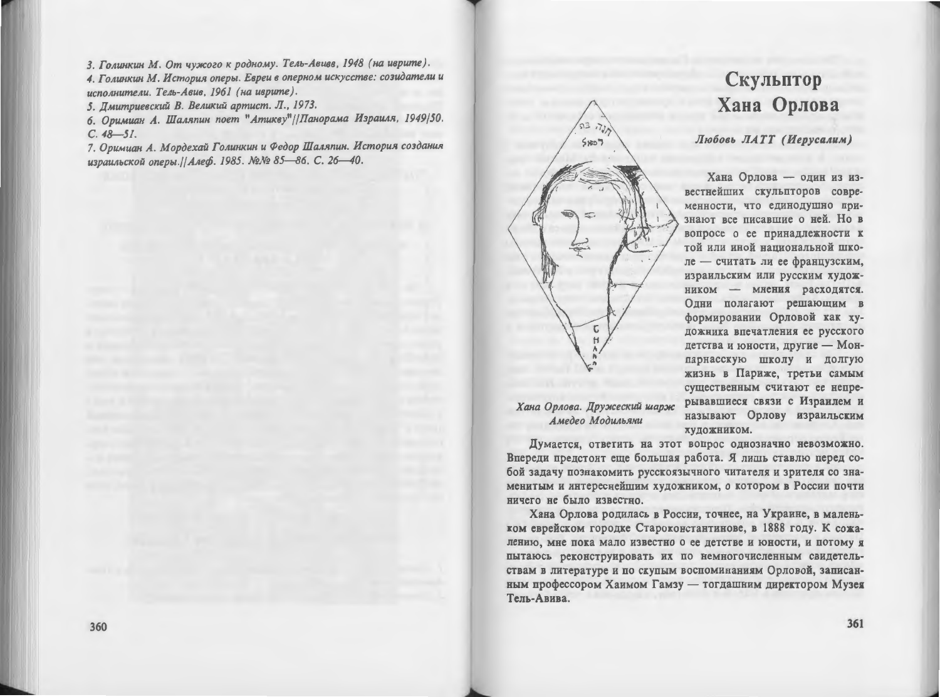3. Голинкин М. От чужого к родному. Тель-Авивв, 1948 (на иврите). 4. Голинкин М. История оперы. Евреи в оперном искусстве: созидатели и исполнители. Тель-Авив. 1961 (на иврите).

5. Дмитриевский В. Великий артист. Л., 1973.

6. Оримиан А. Шаляпин поет "Атикву" // Панорама Израиля, 1949/50.  $C. 48 - 51.$ 

7. Оримиан А. Мордехай Голинкин и Федор Шаляпин. История создания израильской оперы.//Алеф. 1985. №№ 85-86. С. 26-40.



## Амедео Модильяни

ничего не было известно.

называют Орлову израильским художником. Думается, ответить на этот вопрос однозначно невозможно. Впереди предстоит еще большая работа. Я лишь ставлю перед собой задачу познакомить русскоязычного читателя и зрителя со знаменитым и интереснейшим художником, о котором в России почти

Скульптор

Хана Орлова

Любовь ЛАТТ (Иерусалим)

дожника впечатления ее русского детства и юности, другие - Монпарнасскую школу и долгую жизнь в Париже, третьи самым существенным считают ее непрерывавшиеся связи с Израилем и

Хана Орлова — один из известнейших скульпторов современности, что единодушно признают все писавшие о ней. Но в вопросе о ее принадлежности к той или иной национальной школе - считать ли ее французским. израильским или русским художником - мнения расходятся. Одни полагают решающим в формировании Орловой как ху-

Хана Орлова родилась в России, точнее, на Украине, в маленьком еврейском городке Староконстантинове, в 1888 году. К сожалению, мне пока мало известно о ее детстве и юности, и потому я пытаюсь реконструировать их по немногочисленным свидетельствам в литературе и по скупым воспоминаниям Орловой, записанным профессором Хаимом Гамзу - тогдашним директором Музея Тель-Авива.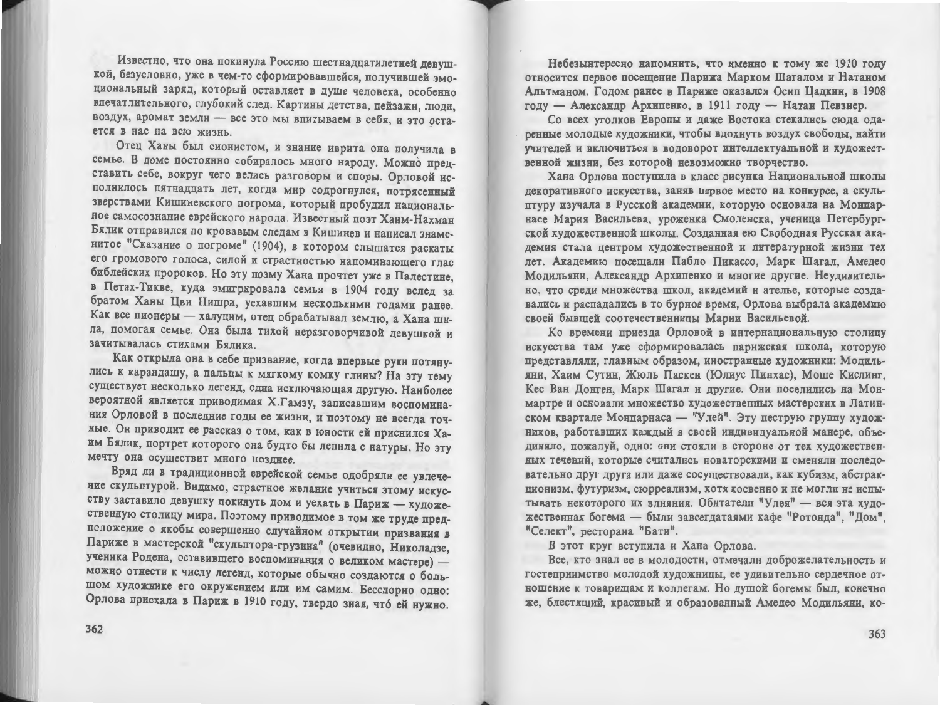Известно, что она покинула Россию шестнадцатилетней девушкой. безусловно, уже в чем-то сформировавшейся, получившей эмоциональный заряд, который оставляет в душе человека, особенно впечатлительного, глубокий след. Картины детства, пейзажи, люди, воздух, аромат земли - все это мы впитываем в себя, и это остается в нас на всю жизнь

Отец Ханы был сионистом, и знание иврита она получила в семье. В доме постоянно собиралось много народу. Можно представить себе, вокруг чего велись разговоры и споры. Орловой исполнилось пятнадцать лет, когда мир содрогнулся, потрясенный зверствами Кишиневского погрома, который пробудил национальное самосознание еврейского народа. Известный поэт Хаим-Нахман Бялик отправился по кровавым следам в Кишинев и написал знаменитое "Сказание о погроме" (1904), в котором слышатся раскаты его громового голоса, силой и страстностью напоминающего глас библейских пророков. Но эту поэму Хана прочтет уже в Палестине. в Петах-Тикве, куда эмигрировала семья в 1904 году вслед за братом Ханы Цви Нишри, уехавшим несколькими годами ранее. Как все пионеры - халуцим, отец обрабатывал землю, а Хана шила, помогая семье. Она была тихой неразговорчивой девушкой и зачитывалась стихами Бялика.

Как открыла она в себе призвание, когда впервые руки потянулись к карандашу, а пальцы к мягкому комку глины? На эту тему существует несколько легенд, одна исключающая другую. Наиболее вероятной является приводимая Х.Гамзу, записавшим воспоминания Орловой в последние годы ее жизни, и поэтому не всегда точные. Он приводит ее рассказ о том, как в юности ей приснился Хаим Бялик, портрет которого она будто бы лепила с натуры. Но эту мечту она осуществит много позднее.

Вряд ли в традиционной еврейской семье одобряли ее увлечение скульптурой. Видимо, страстное желание учиться этому искусству заставило девушку покинуть дом и уехать в Париж - художественную столицу мира. Поэтому приводимое в том же труде предположение о якобы совершенно случайном открытии призвания в Париже в мастерской "скульптора-грузина" (очевидно, Николадзе, ученика Родена, оставившего воспоминания о великом мастере) можно отнести к числу легенд, которые обычно создаются о большом художнике его окружением или им самим. Бесспорно одно: Орлова приехала в Париж в 1910 году, твердо зная, что ей нужно.

Небезынтересно напомнить, что именно к тому же 1910 году относится первое посещение Парижа Марком Шагалом и Натаном Альтманом. Годом ранее в Париже оказался Осип Цадкин, в 1908 году - Александр Архипенко, в 1911 году - Натан Певзнер.

Со всех уголков Европы и даже Востока стекались сюда одаренные молодые художники, чтобы вдохнуть воздух свободы, найти учителей и включиться в водоворот интеллектуальной и художественной жизни, без которой невозможно творчество.

Хана Орлова поступила в класс рисунка Национальной школы декоративного искусства, заняв первое место на конкурсе, а скульптуру изучала в Русской академии, которую основала на Монпарнасе Мария Васильева, уроженка Смоленска, ученица Петербургской художественной школы. Созданная ею Свободная Русская академия стала центром художественной и литературной жизни тех лет. Академию посещали Пабло Пикассо, Марк Шагал, Амедео Модильяни, Александр Архипенко и многие другие. Неудивительно, что среди множества школ, академий и ателье, которые создавались и распадались в то бурное время, Орлова выбрала академию своей бывшей соотечественницы Марии Васильевой.

Ко времени приезда Орловой в интернациональную столицу искусства там уже сформировалась парижская школа, которую представляли, главным образом, иностранные художники: Модильяни. Хаим Сутин. Жюль Паскен (Юлиус Пинхас), Моше Кислинг, Кес Ван Донген, Марк Шагал и другие. Они поселились на Монмартре и основали множество художественных мастерских в Латинском квартале Монпарнаса — "Улей". Эту пеструю группу художников, работавших каждый в своей индивидуальной манере, объединяло, пожалуй, одно: они стояли в стороне от тех художественных течений, которые считались новаторскими и сменяли последовательно друг друга или даже сосуществовали, как кубизм, абстракционизм, футуризм, сюрреализм, хотя косвенно и не могли не испытывать некоторого их влияния. Обитатели "Улея" - вся эта художественная богема - были завсегдатаями кафе "Ротонда", "Дом", "Селект", ресторана "Бати".

В этот круг вступила и Хана Орлова.

Все, кто знал ее в молодости, отмечали доброжелательность и гостеприимство молодой художницы, ее удивительно сердечное отношение к товарищам и коллегам. Но душой богемы был, конечно же. блестящий, красивый и образованный Амедео Модильяни, ко-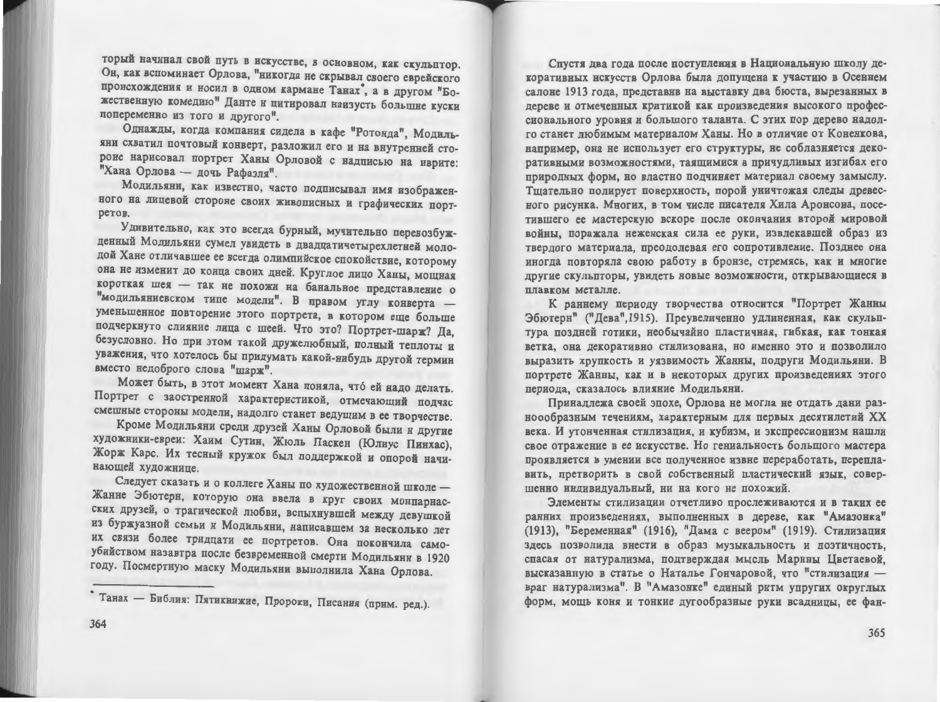торый начинал свой путь в искусстве, в основном, как скульптор. Он, как вспоминает Орлова, "никогда не скрывал своего еврейского происхождения и носил в одном кармане Танах°, а в другом "Божественную комедию" Данте и цитировал наизусть большие куски попеременно из того и другого".

Однажды, когда компания сидела в кафе "Ротонда", Модильяни схватил почтовый конверт, разложил его и на внутренней стороне нарисовал портрет Ханы Орловой с надписью на иврите: "Хана Орлова - дочь Рафаэля".

Модильяни, как известно, часто подписывал имя изображенного на лицевой стороне своих живописных и графических портретов.

Удивительно, как это всегда бурный, мучительно перевозбужденный Модильяни сумел увидеть в двадцатичетырехлетней молодой Хане отличавшее ее всегда олимпийское спокойствие, которому она не изменит до конца своих дней. Круглое лицо Ханы, мощная короткая шея - так не похожи на банальное представление о "модильяниевском типе модели". В правом углу конверта уменьшенное повторение этого портрета, в котором еще больше подчеркнуто слияние лица с шеей. Что это? Портрет-шарж? Да. безусловно. Но при этом такой дружелюбный, полный теплоты и уважения, что хотелось бы придумать какой-нибудь другой термин вместо недоброго слова "шарж".

Может быть, в этот момент Хана поняла, что ей надо делать. Портрет с заостренной характеристикой, отмечающий подчас смешные стороны модели, надолго станет ведущим в ее творчестве.

Кроме Модильяни среди друзей Ханы Орловой были и другие художники-евреи: Хаим Сутин, Жюль Паскен (Юлиус Пинхас), Жорж Карс. Их тесный кружок был поддержкой и опорой начинающей художнице.

Следует сказать и о коллеге Ханы по художественной школе -Жанне Эбютерн, которую она ввела в круг своих монпарнасских друзей, о трагической любви, вспыхнувшей между девушкой из буржуазной семьи и Модильяни, написавшем за несколько лет их связи более тридцати ее портретов. Она покончила самоубийством назавтра после безвременной смерти Модильяни в 1920 году. Посмертную маску Модильяни выполнила Хана Орлова.

Спустя два года после поступления в Национальную школу декоративных нскусств Орлова была допущена к участию в Осеннем салоне 1913 года, представив на выставку два бюста, вырезанных в дереве и отмеченных критикой как произведения высокого профессионального уровня и большого таланта. С этих пор дерево надолго станет любимым материалом Ханы. Но в отличие от Коненкова, например, она не использует его структуры, не соблазняется декоративными возможностями, таящимися в причудливых изгибах его природных форм, но властно подчиняет материал своему замыслу. Тщательно полирует поверхность, порой уничтожая следы древесного рисунка. Многих, в том числе писателя Хила Аронсона, посетившего ее мастерскую вскоре после окончания второй мировой войны, поражала неженская сила ее руки, извлекавшей образ из твердого материала, преодолевая его сопротивление. Позднее она иногда повторяла свою работу в бронзе, стремясь, как и многие другие скульпторы, увидеть новые возможности, открывающиеся в плавком металле.

К раннему периоду творчества относится "Портрет Жанны Эбютерн" ("Дева", 1915). Преувеличенно удлиненная, как скульптура поздней готики, необычайно пластичная, гибкая, как тонкая ветка, она декоративно стилизована, но именно это и позволило выразить хрупкость и уязвимость Жанны, подруги Модильяни. В портрете Жанны, как и в некоторых других произведениях этого периода, сказалось влияние Модильяни.

Принадлежа своей эпохе, Орлова не могла не отдать дани разноообразным течениям, характерным для первых десятилетий XX века. И утонченная стилизация, и кубизм, и экспрессионизм нашли свое отражение в ее искусстве. Но гениальность большого мастера проявляется в умении все полученное извне переработать, переплавить, претворить в свой собственный пластический язык, совершенно индивидуальный, ни на кого не похожий.

Элементы стилизации отчетливо прослеживаются и в таких ее ранних произведениях, выполненных в дереве, как "Амазонка" (1913), "Беременная" (1916), "Дама с веером" (1919). Стилизация здесь позволила внести в образ музыкальность и поэтичность, спасая от натурализма, подтверждая мысль Марины Цветаевой, высказанную в статье о Наталье Гончаровой, что "стилизация враг натурализма". В "Амазонке" единый ритм упругих округлых форм, мощь коня и тонкие дугообразные руки всадницы, ее фан-

<sup>•</sup> Танах — Библия: Пятикнижие, Пророки, Писания (прим. ред.).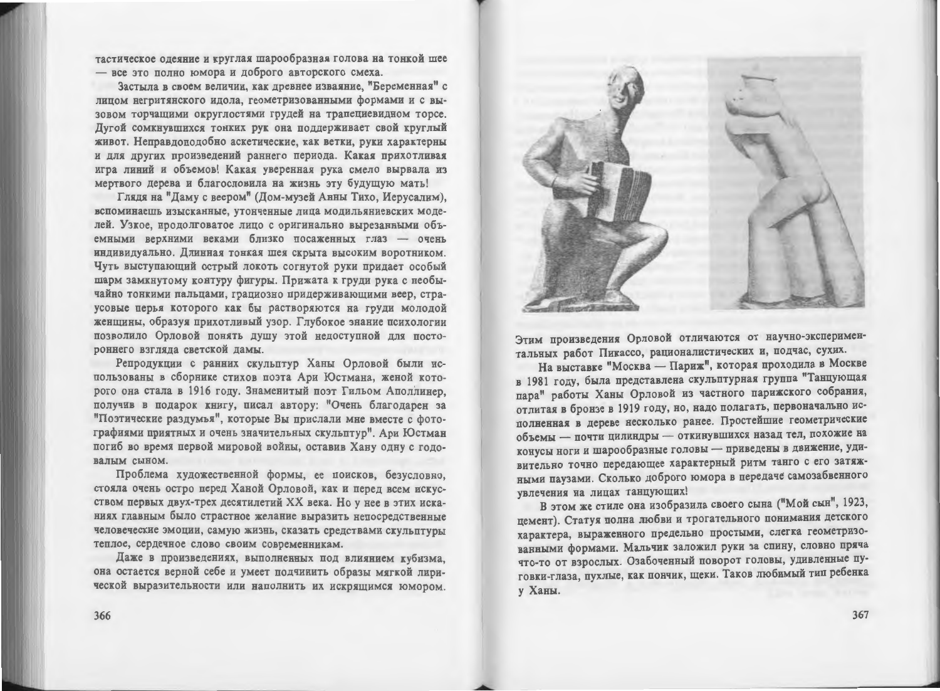тастическое одеяние и круглая шарообразная голова на тонкой шее - все это полно юмора и доброго авторского смеха.

Застыла в своем величии, как древнее изваяние, "Беременная" с лицом негритянского идола, геометризованными формами и с вызовом торчащими округлостями грудей на трапециевидном торсе. Дугой сомкнувшихся тонких рук она поддерживает свой круглый живот. Неправдоподобно аскетические, как ветки, руки характерны и для других произведений раннего периода. Какая прихотливая игра линий и объемов! Какая уверенная рука смело вырвала из мертвого дерева и благословила на жизнь эту будущую мать!

Глядя на "Даму с веером" (Дом-музей Анны Тихо, Иерусалим), вспоминаешь изысканные, утонченные лица модильяниевских моделей. Узкое, продолговатое лицо с оригинально вырезанными объемными верхними веками близко посаженных глаз - очень индивидуально. Длинная тонкая шея скрыта высоким воротником. Чуть выступающий острый локоть согнутой руки придает особый шарм замкнутому контуру фигуры. Прижата к груди рука с необычайно тонкими пальцами, грациозно придерживающими веер, страусовые перья которого как бы растворяются на груди молодой женщины, образуя прихотливый узор. Глубокое знание психологии позволило Орловой понять душу этой недоступной для постороннего взгляда светской дамы.

Репродукции с ранних скульптур Ханы Орловой были использованы в сборнике стихов поэта Ари Юстмана, женой которого она стала в 1916 году. Знаменитый поэт Гильом Аполлинер, получив в подарок книгу, писал автору: "Очень благодарен за "Поэтические раздумья", которые Вы прислали мне вместе с фотографиями приятных и очень значительных скульптур". Ари Юстман погиб во время первой мировой войны, оставив Хану одну с годовалым сыном.

Проблема художественной формы, ее поисков, безусловно, стояла очень остро перед Ханой Орловой, как и перед всем искусством первых двух-трех десятилетий XX века. Но у нее в этих исканиях главным было страстное желание выразить непосредственные человеческие эмоции, самую жизнь, сказать средствами скульптуры теплое, сердечное слово своим современникам.

Даже в произведениях, выполненных под влиянием кубизма. она остается верной себе и умеет подчинить образы мягкой лирической выразительности или наполнить их искрящимся юмором.



Этим произведения Орловой отличаются от научно-экспериментальных работ Пикассо, рационалистических и, подчас, сухих.

На выставке "Москва — Париж", которая проходила в Москве в 1981 году, была представлена скульптурная группа "Танцующая пара" работы Ханы Орловой из частного парижского собрания, отлитая в бронзе в 1919 году, но, надо полагать, первоначально исполненная в дереве несколько ранее. Простейшие геометрические объемы - почти цилиндры - откинувшихся назад тел, похожие на конусы ноги и шарообразные головы - приведены в движение, удивительно точно передающее характерный ритм танго с его затяжными паузами. Сколько доброго юмора в передаче самозабвенного увлечения на лицах танцующих!

В этом же стиле она изобразила своего сына ("Мой сын", 1923, цемент). Статуя полна любви и трогательного понимания детского характера, выраженного предельно простыми, слегка геометризованными формами. Мальчик заложил руки за спину, словно пряча что-то от взрослых. Озабоченный поворот головы, удивленные пуговки-глаза, пухлые, как пончик, щеки. Таков любимый тип ребенка **v** Ханы.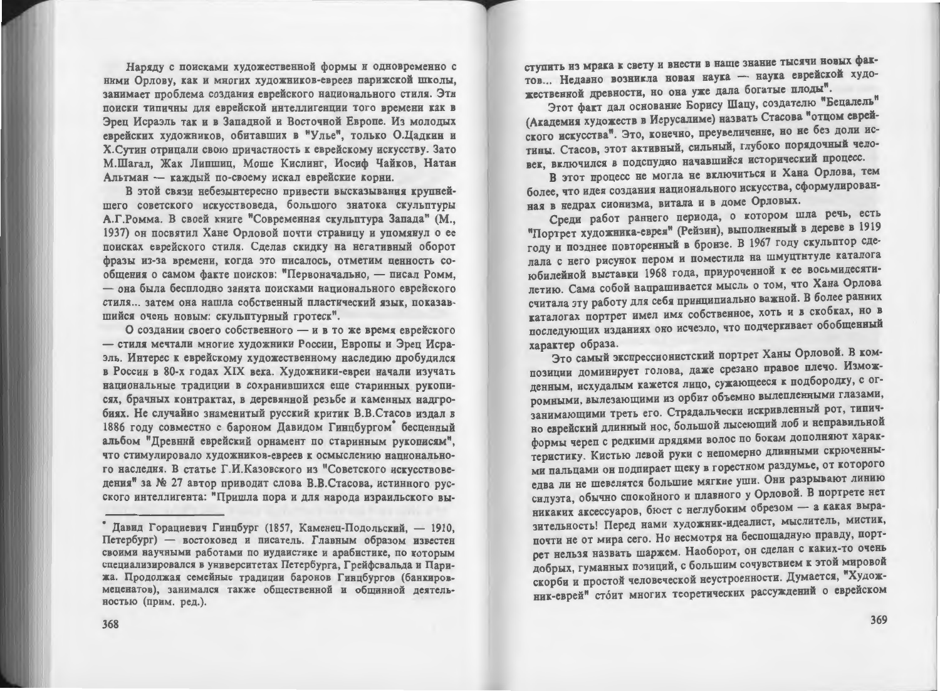Наряду с поисками художественной формы и одновременно с ними Орлову, как и многих художников-евреев парижской школы, занимает проблема создания еврейского национального стиля. Эти поиски типичны для еврейской интеллигенции того времени как в Эреп Исраэль так и в Западной и Восточной Европе. Из молодых еврейских художников, обитавших в "Улье", только О.Цадкин и Х. Сутин отрицали свою причастность к еврейскому искусству. Зато М.Шагал, Жак Липшиц, Моше Кислинг, Иосиф Чайков, Натан Альтман - каждый по-своему искал еврейские корни.

В этой связи небезынтересно привести высказывания крупнейшего советского искусствоведа, большого знатока скульптуры А.Г.Ромма. В своей книге "Современная скульптура Запада" (М., 1937) он посвятил Хане Орловой почти страницу и упомянул о ее поисках еврейского стиля. Сделав скидку на негативный оборот фразы из-за времени, когда это писалось, отметим ценность сообщения о самом факте поисков: "Первоначально, - писал Ромм, - она была бесплодно занята поисками национального еврейского стиля... затем она нашла собственный пластический язык, показавшийся очень новым: скульптурный гротеск".

О создании своего собственного - и в то же время еврейского - стиля мечтали многие художники России, Европы и Эрец Исраэль. Интерес к еврейскому художественному наследию пробудился в России в 80-х годах XIX века. Художники-евреи начали изучать национальные традиции в сохранившихся еще старинных рукописях, брачных контрактах, в деревянной резьбе и каменных надгробиях. Не случайно знаменитый русский критик В.В.Стасов издал в 1886 году совместно с бароном Давидом Гинцбургом беспенный альбом "Древний еврейский орнамент по старинным рукописям". что стимулировало художников-евреев к осмыслению национального наследия. В статье Г.И.Казовского из "Советского искусствоведения" за № 27 автор приводит слова В.В.Стасова, истинного русского интеллигента: "Пришла пора и для народа израильского выступить из мрака к свету и внести в наше знание тысячи новых фактов... Недавно возникла новая наука - наука еврейской художественной древности, но она уже дала богатые плоды".

Этот факт дал основание Борису Шацу, создателю "Бецалель" (Академия художеств в Иерусалиме) назвать Стасова "отцом еврейского искусства". Это, конечно, преувеличение, но не без доли истины. Стасов, этот активный, сильный, глубоко порядочный человек, включился в подспудно начавшийся исторический процесс.

В этот процесс не могла не включиться и Хана Орлова, тем более, что идея создания национального искусства, сформулированная в недрах сионизма, витала и в доме Орловых.

Среди работ раннего периода, о котором шла речь, есть "Портрет художника-еврея" (Рейзин), выполненный в дереве в 1919 году и позднее повторенный в бронзе. В 1967 году скульптор сделала с него рисунок пером и поместила на шмуцтнтуле каталога юбилейной выставки 1968 года, приуроченной к ее восьмидесятилетию. Сама собой напрашивается мысль о том, что Хана Орлова считала эту работу для себя принципиально важной. В более ранних каталогах портрет имел имя собственное, хоть и в скобках, но в последующих изданиях оно исчезло, что подчеркивает обобщенный характер образа.

Это самый экспрессионистский портрет Ханы Орловой. В композиции доминирует голова, даже срезано правое плечо. Изможденным, исхудалым кажется лицо, сужающееся к подбородку, с огромными, вылезающими из орбит объемно вылепленными глазами, занимающими треть его. Страдальчески искривленный рот, типично еврейский длинный нос, большой лысеющий лоб и неправильной формы череп с редкими прядями волос по бокам дополняют характеристику. Кистью левой руки с непомерно длинными скрюченными пальцами он подпирает щеку в горестном раздумье, от которого едва ли не шевелятся большие мягкие уши. Они разрывают линию силуэта, обычно спокойного и плавного у Орловой. В портрете нет никаких аксессуаров, бюст с неглубоким обрезом - а какая выразительность! Перед нами художник-идеалист, мыслитель, мистик, почти не от мира сего. Но несмотря на беспощадную правду, портрет нельзя назвать шаржем. Наоборот, он сделан с каких-то очень добрых, гуманных позиций, с большим сочувствием к этой мировой скорби и простой человеческой неустроенности. Думается, "Художник-еврей" стоит многих теоретических рассуждений о еврейском

<sup>\*</sup> Давид Горациевич Гинцбург (1857, Каменец-Подольский, - 1910, Петербург) - востоковел и писатель. Главным образом известен своими научными работами по иулаистике и арабистике, по которым специализировался в университетах Петербурга, Грейфсвальда и Парижа. Продолжая семейные традиции баронов Гинцбургов (банкировмеценатов), занимался также общественной и общинной деятельностью (прим. ред.).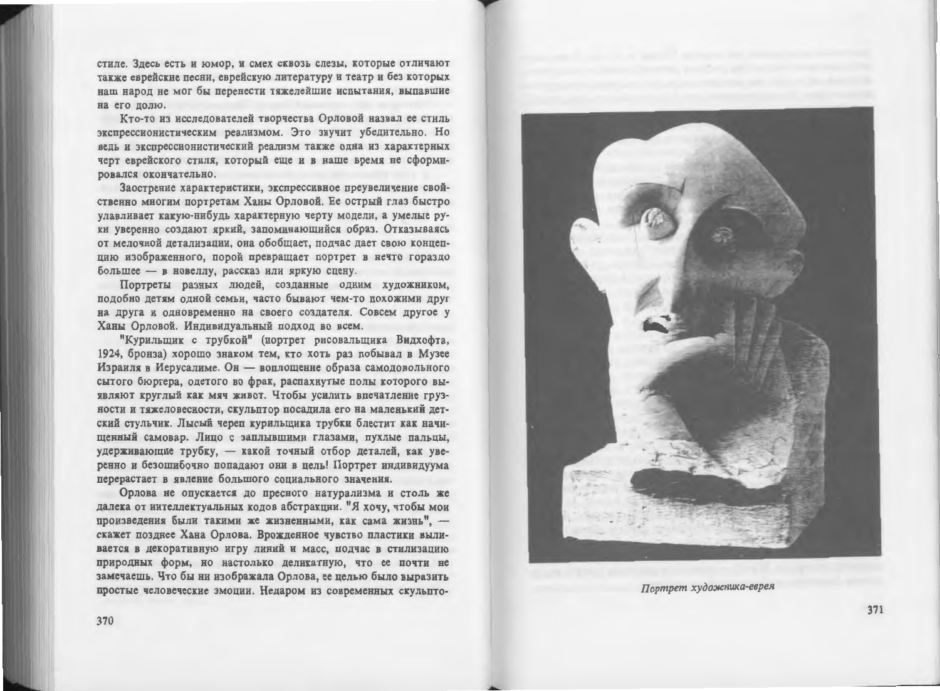стиле. Здесь есть и юмор, и смех сквозь слезы, которые отличают также еврейские песни, еврейскую литературу и театр и без которых наш народ не мог бы перенести тяжелейшие испытания, выпавшие на его долю.

Кто-то из исследователей творчества Орловой назвал ее стиль экспрессионистическим реализмом. Это звучит убедительно. Но ведь и экспрессионистический реализм также одна из характерных черт еврейского стиля, который еще и в наше время не сформировался окончательно.

Заострение характеристики, экспрессивное преувеличение свойственно многим портретам Ханы Орловой. Ее острый глаз быстро улавливает какую-нибудь характерную черту модели, а умелые руки уверенно создают яркий, запоминающийся образ. Отказываясь от мелочной детализации, она обобщает, подчас дает свою концепцию изображенного, порой превращает портрет в нечто гораздо большее - в новеллу, рассказ или яркую сцену.

Портреты разных людей, созданные одним художником, подобно детям одной семьи, часто бывают чем-то похожими друг на друга и одновременно на своего создателя. Совсем другое у Ханы Орловой. Индивидуальный подход во всем.

"Курильшик с трубкой" (портрет рисовальщика Видхофта, 1924, бронза) хорошо знаком тем, кто хоть раз побывал в Музее Израиля в Иерусалиме. Он - воплощение образа самодовольного сытого бюргера, одетого во фрак, распахнутые полы которого выявляют круглый как мяч живот. Чтобы усилить впечатление грузности и тяжеловесности, скульптор посадила его на маленький детский стульчик. Лысый череп курильщика трубки блестит как начищенный самовар. Лицо с заплывшими глазами, пухлые пальцы, удерживающие трубку, - какой точный отбор деталей, как уверенно и безошибочно попадают они в цель! Портрет индивидуума перерастает в явление большого социального значения.

Орлова не опускается до пресного натурализма и столь же далека от интеллектуальных кодов абстракции. "Я хочу, чтобы мои произведения были такими же жизненными, как сама жизнь", скажет позднее Хана Орлова. Врожденное чувство пластики выливается в декоративную игру линий и масс, подчас в стилизацию природных форм, но настолько деликатную, что ее почти не замечаешь. Что бы ни изображала Орлова, ее целью было выразить простые человеческие эмоции. Недаром из современных скульпто-



Портрет художника-еврея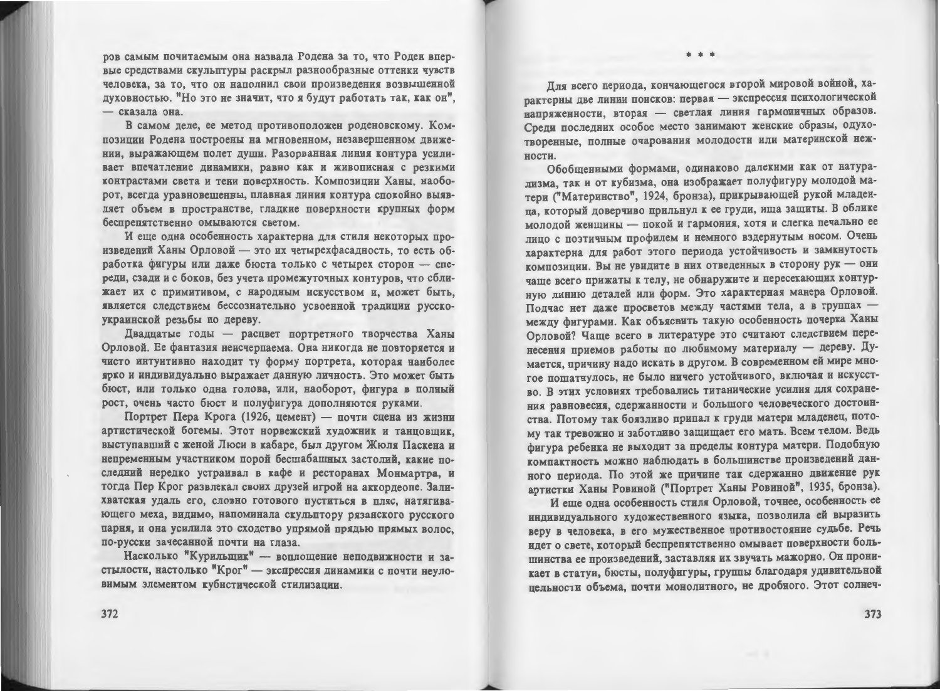ров самым почитаемым она назвала Родена за то, что Роден впервые средствами скульптуры раскрыл разнообразные оттенки чувств человека, за то, что он наполнил свои произведения возвышенной духовностью. "Но это не значит, что я будут работать так, как он". - сказала она.

В самом деле, ее метод противоположен роденовскому. Композиции Родена построены на мгновенном, незавершенном движении, выражающем полет души. Разорванная линия контура усиливает впечатление динамики, равно как и живописная с резкими контрастами света и тени поверхность. Композиции Ханы, наоборот, всегда уравновешенны, плавная линия контура спокойно выявляет объем в пространстве, гладкие поверхности крупных форм беспрепятственно омываются светом.

И еще одна особенность характерна для стиля некоторых произведений Ханы Орловой - это их четырехфасалность, то есть обработка фигуры или даже бюста только с четырех сторон - спереди, сзади и с боков, без учета промежуточных контуров, что сближает их с примитивом, с народным искусством и, может быть, является следствием бессознательно усвоенной традиции русскоукраинской резьбы по дереву.

Двадцатые годы - расцвет портретного творчества Ханы Орловой. Ее фантазия неисчерпаема. Она никогда не повторяется и чисто интуитивно находит ту форму портрета, которая наиболее ярко и индивидуально выражает данную личность. Это может быть бюст, или только одна голова, или, наоборот, фигура в полный рост, очень часто бюст и полуфигура дополняются руками.

Портрет Пера Крога (1926, цемент) — почти сцена из жизни артистической богемы. Этот норвежский художник и танцовщик, выступавший с женой Люси в кабаре, был другом Жюля Паскена и непременным участником порой бесшабашных застолий, какие последний нередко устраивал в кафе и ресторанах Монмартра, и тогда Пер Крог развлекал своих друзей игрой на аккордеоне. Залихватская удаль его, словно готового пуститься в пляс, натягивающего меха, видимо, напоминала скульптору рязанского русского парня, и она усилила это сходство упрямой прядью прямых волос. по-русски зачесанной почти на глаза.

Насколько "Курильщик" - воплощение неподвижности и застылости, настолько "Крог" - экспрессия динамики с почти неуловимым элементом кубистической стилизации.

Для всего периода, кончающегося второй мировой войной, характерны две линии поисков: первая - экспрессия психологической напряженности, вторая - светлая линия гармоничных образов. Среди последних особое место занимают женские образы, одухотворенные, полные очарования молодости или материнской нежности.

Обобщенными формами, одинаково далекими как от натурализма, так и от кубизма, она изображает полуфигуру молодой матери ("Материнство", 1924, бронза), прикрывающей рукой младенца, который доверчиво прильнул к ее груди, ища защиты. В облике молодой женщины - покой и гармония, хотя и слегка печально ее лицо с поэтичным профилем и немного вздернутым носом. Очень характерна для работ этого периода устойчивость и замкнутость композиции. Вы не увидите в них отведенных в сторону рук - они чаще всего прижаты к телу, не обнаружите и пересекающих контурную линию деталей или форм. Это характерная манера Орловой. Подчас нет даже просветов между частями тела, а в группах между фигурами. Как объяснить такую особенность почерка Ханы Орловой? Чаще всего в литературе это считают следствием перенесения приемов работы по любимому материалу - дереву. Думается, причину надо искать в другом. В современном ей мире многое пошатнулось, не было ничего устойчивого, включая и искусство. В этих условиях требовались титанические усилия для сохранения равновесия, сдержанности и большого человеческого достоинства. Потому так боязливо припал к груди матери младенец, потому так тревожно и заботливо защищает его мать. Всем телом. Ведь фигура ребенка не выходит за пределы контура матери. Подобную компактность можно наблюдать в большинстве произведений данного периода. По этой же причине так сдержанно движение рук артистки Ханы Ровиной ("Портрет Ханы Ровиной", 1935, бронза).

И еще одна особенность стиля Орловой, точнее, особенность ее индивидуального художественного языка, позволила ей выразить веру в человека, в его мужественное противостояние судьбе. Речь идет о свете, который беспрепятственно омывает поверхности большинства ее произведений, заставляя их звучать мажорно. Он проникает в статуи, бюсты, полуфигуры, группы благодаря удивительной цельности объема, почти монолитного, не дробного. Этот солнеч-

372

373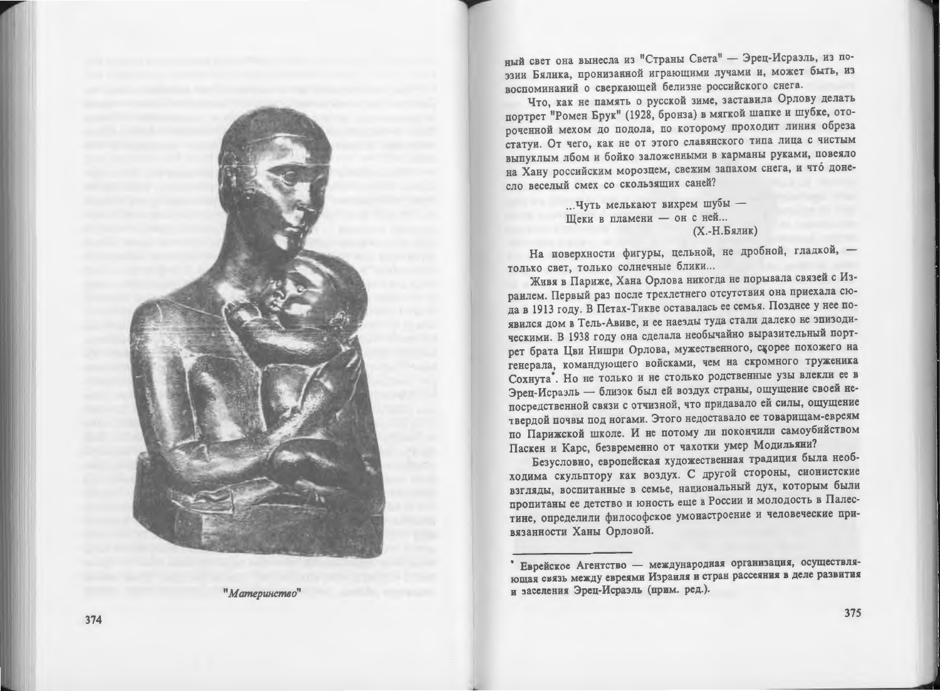

"Материнство"

ный свет она вынесла из "Страны Света" - Эрец-Исраэль, из поэзии Бялика, пронизанной играющими лучами и, может быть, из воспоминаний о сверкающей белизне российского снега.

Что, как не память о русской зиме, заставила Орлову делать портрет "Ромен Брук" (1928, бронза) в мягкой шапке и шубке, отороченной мехом до подола, по которому проходит линия обреза статуи. От чего, как не от этого славянского типа лица с чистым выпуклым лбом и бойко заложенными в карманы руками, повеяло на Хану российским морозцем, свежим запахом снега, и что донесло веселый смех со скользящих саней?

> ... Чуть мелькают вихрем шубы -Щеки в пламени - он с ней... (Х.-Н.Бялик)

На поверхности фигуры, цельной, не дробной, гладкой, только свет, только солнечные блики...

Живя в Париже, Хана Орлова никогда не порывала связей с Израилем. Первый раз после трехлетнего отсутствия она приехала сюда в 1913 году. В Петах-Тикве оставалась ее семья. Позднее у нее появился дом в Тель-Авиве, и ее наезды туда стали далеко не эпизодическими. В 1938 году она сделала необычайно выразительный портрет брата Цви Нишри Орлова, мужественного, скорее похожего на генерала, командующего войсками, чем на скромного труженика Сохнута. Но не только и не столько родственные узы влекли ее в Эрец-Исраэль - близок был ей воздух страны, ощущение своей непосредственной связи с отчизной, что придавало ей силы, ощущение твердой почвы под ногами. Этого недоставало ее товарищам-евреям по Парижской школе. И не потому ли покончили самоубийством Паскен и Карс, безвременно от чахотки умер Модильяни?

Безусловно, европейская художественная традиция была необходима скульптору как воздух. С другой стороны, сионистские взгляды, воспитанные в семье, национальный дух, которым были пропитаны ее детство и юность еще в России и молодость в Палестине, определили философское умонастроение и человеческие привязанности Ханы Орловой.

Еврейское Агентство - международная организация, осуществляющая связь между евреями Израиля и стран рассеяния в деле развития и заселения Эрец-Исраэль (прим. ред.).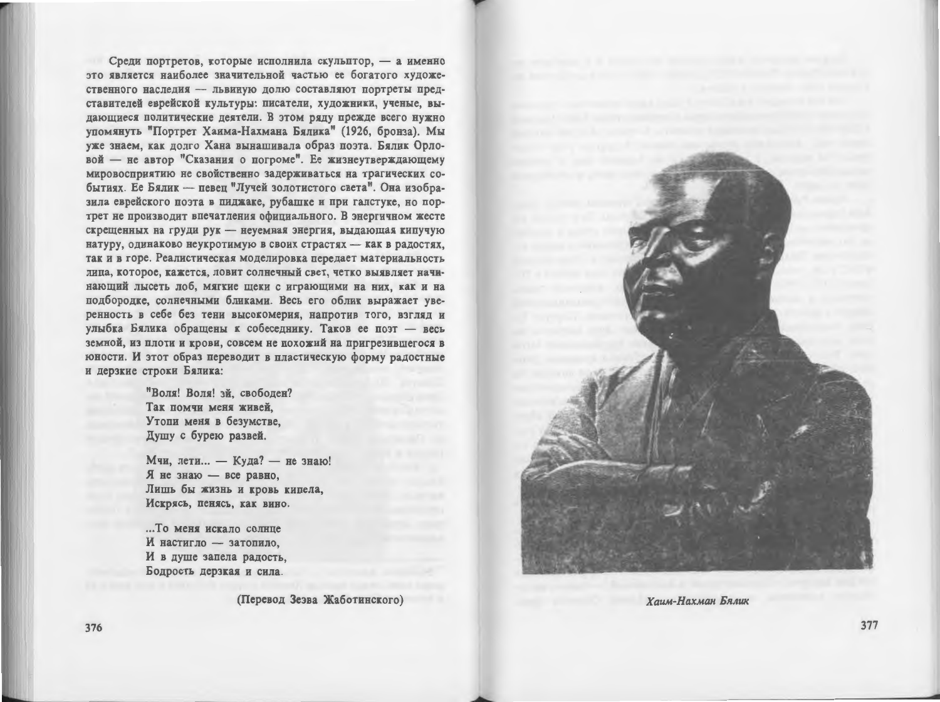Среди портретов, которые исполнила скульптор, - а именно это является наиболее значительной частью ее богатого художественного наследия - львиную долю составляют портреты представителей еврейской культуры: писатели, художники, ученые, выдающиеся политические деятели. В этом ряду прежде всего нужно упомянуть "Портрет Хаима-Нахмана Бялика" (1926, бронза). Мы уже знаем, как долго Хана вынашивала образ поэта. Бялик Орловой - не автор "Сказания о погроме". Ее жизнеутверждающему мировосприятию не свойственно задерживаться на трагических событиях. Ее Бялик - певец "Лучей золотистого света". Она изобразила еврейского поэта в пиджаке, рубашке и при галстуке, но портрет не производит впечатления официального. В энергичном жесте скрещенных на груди рук - неуемная энергия, выдающая кипучую натуру, одинаково неукротимую в своих страстях - как в радостях, так и в горе. Реалистическая моделировка передает материальность лица, которое, кажется, ловит солнечный свет, четко выявляет начинающий лысеть лоб, мягкие щеки с играющими на них, как и на подбородке, солнечными бликами. Весь его облик выражает уверенность в себе без тени высокомерия, напротив того, взгляд и улыбка Бялика обращены к собеседнику. Таков ее поэт - весь земной, из плоти и крови, совсем не похожий на пригрезившегося в юности. И этот образ переводит в пластическую форму радостные и дерзкие строки Бялика:

> "Воля! Воля! эй. свободен? Так помчи меня живей. Утопи меня в безумстве. Душу с бурею развей.

Мчи, лети... - Куда? - не знаю! Я не знаю - все равно, Лишь бы жизнь и кровь кипела, Искрясь, пенясь, как вино.

... То меня искало солнце И настигло - затопило, И в душе запела радость. Бодрость дерзкая и сила.

(Перевод Зезва Жаботинского)



Хаим-Нахман Бялик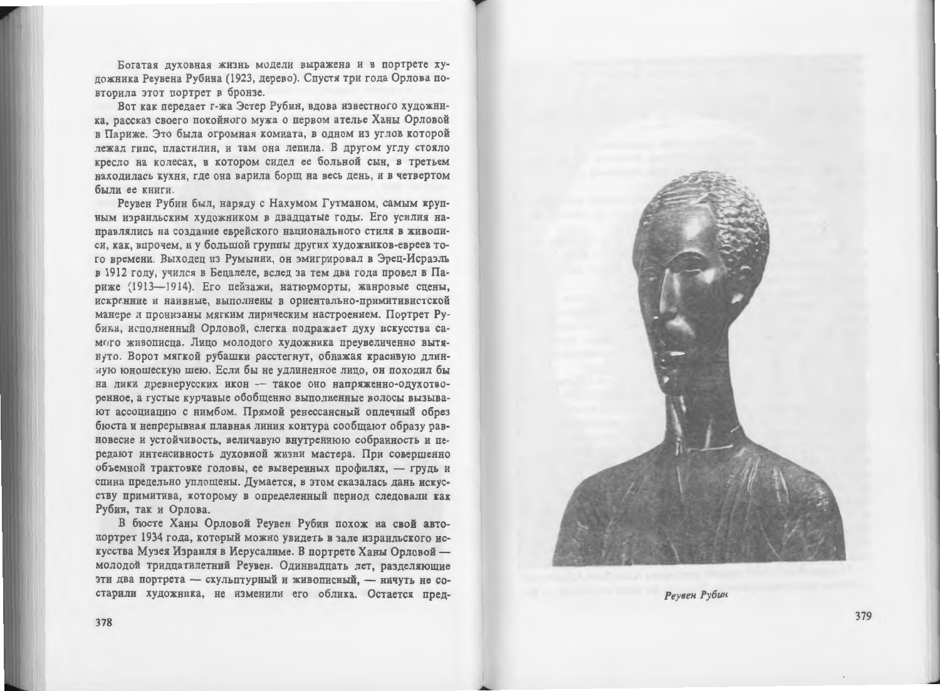Богатая духовная жизнь модели выражена и в портрете художника Реувена Рубина (1923, дерево). Спустя три года Орлова повторила этот портрет в бронзе.

Вот как передает г-жа Эстер Рубин, вдова известного художника, рассказ своего покойного мужа о первом ателье Ханы Орловой в Париже. Это была огромная комната, в одном из углов которой лежал гипс, пластилин, и там она лепила. В другом углу стояло кресло на колесах, в котором сидел ее больной сын, в третьем находилась кухня, где она варила борщ на весь день, и в четвертом были ее книги.

Реувен Рубин был, наряду с Нахумом Гутманом, самым крупным израильским художником в двадцатые годы. Его усилия направлялись на создание еврейского национального стиля в живописи, как, впрочем, и у большой группы других художников-евреев того времени. Выходец из Румынии, он эмигрировал в Эрец-Исраэль в 1912 году, учился в Бецалеле, вслед за тем два года провел в Париже (1913-1914). Его пейзажи, натюрморты, жанровые сцены, искренние и наивные, выполнены в ориентально-примитивистской манере и пронизаны мягким лирическим настроением. Портрет Рубика, исполненный Орловой, слегка подражает духу искусства самого живописца. Лицо молодого художника преувеличенно вытянуто. Ворот мягкой рубашки расстегнут, обнажая красивую длинную юношескую шею. Если бы не удлиненное лицо, он походил бы на лики древнерусских икон - такое оно напряженно-одухотворенное, а густые курчавые обобщенно выполненные волосы вызывают ассоциацию с нимбом. Прямой ренессансный оплечный обрез бюста и непрерывная плавная линия контура сообщают образу равновесие и устойчивость, величавую внутреннюю собранность и передают интенсивность духовной жизни мастера. При совершенно объемной трактовке головы, ее выверенных профилях, - грудь и спина предельно уплощены. Думается, в этом сказалась дань искусству примитива, которому в определенный период следовали как Рубин, так и Орлова.

В бюсте Ханы Орловой Реувен Рубин похож на свой автопортрет 1934 года, который можно увидеть в зале израильского искусства Музея Израиля в Иерусалиме. В портрете Ханы Орловой молодой тридцатилетний Реувен. Одиннадцать лет, разделяющие эти два портрета - скульптурный и живописный. - ничуть не состарили художника, не изменили его облика. Остается пред-



Реувен Рубин

379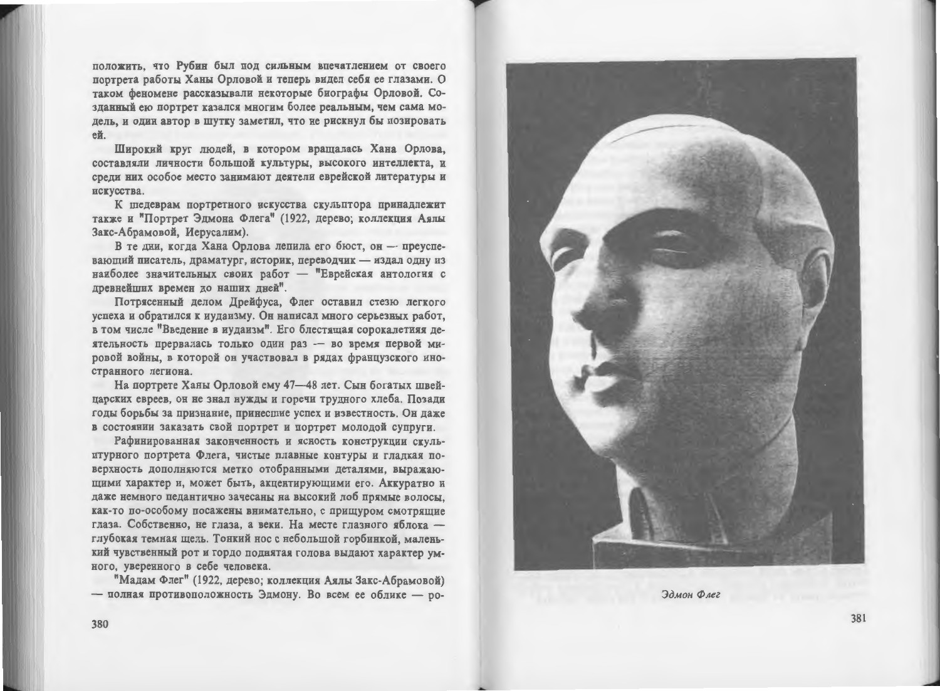положить, что Рубин был под сильным впечатлением от своего портрета работы Ханы Орловой и теперь видел себя ее глазами. О таком феномене рассказывали некоторые биографы Орловой. Созланный ею портрет казался многим более реальным, чем сама модель, и один автор в шутку заметил, что не рискнул бы позировать ей.

Широкий круг людей, в котором вращалась Хана Орлова, составляли личности большой культуры, высокого интеллекта, и среди них особое место занимают деятели еврейской литературы и искусства.

К шедеврам портретного искусства скульптора принадлежит также и "Портрет Эдмона Флега" (1922, дерево; коллекция Аялы Закс-Абрамовой, Иерусалим).

В те дни, когда Хана Орлова лепила его бюст, он - преуспевающий писатель, драматург, историк, переводчик - издал одну из наиболее значительных своих работ - "Еврейская антология с превнейших времен до наших дней".

Потрясенный делом Дрейфуса, Флег оставил стезю легкого успеха и обратился к иудаизму. Он написал много серьезных работ, в том числе "Введение в иудаизм". Его блестящая сорокалетняя деятельность прервалась только один раз - во время первой мировой войны, в которой он участвовал в рядах французского иностранного легиона.

На портрете Ханы Орловой ему 47-48 лет. Сын богатых швейцарских евреев, он не знал нужды и горечи трудного хлеба. Позади годы борьбы за признание, принесшие успех и известность. Он даже в состоянии заказать свой портрет и портрет молодой супруги.

Рафинированная законченность и ясность конструкции скульптурного портрета Флега, чистые плавные контуры и гладкая поверхность дополняются метко отобранными деталями, выражающими характер и, может быть, акцентирующими его. Аккуратно и даже немного педантично зачесаны на высокий лоб прямые волосы. как-то по-особому посажены внимательно, с прищуром смотрящие глаза. Собственно, не глаза, а веки. На месте глазного яблока глубокая темная щель. Тонкий нос с небольшой горбинкой, маленький чувственный рот и гордо поднятая голова выдают характер умного, уверенного в себе человека.

"Мадам Флег" (1922, дерево; коллекция Аялы Закс-Абрамовой) - полная противоположность Эдмону. Во всем ее облике - ро-



Эдмон Флег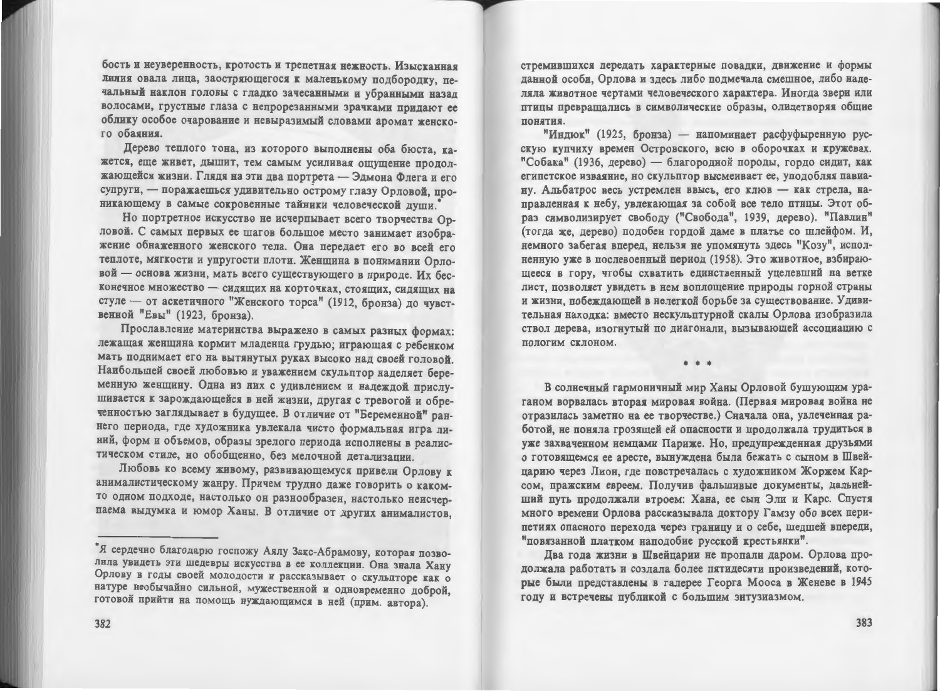бость и неуверенность, кротость и трепетная нежность. Изысканная линия овала лица, заостряющегося к маленькому подбородку, печальный наклон головы с гладко зачесанными и убранными назад волосами, грустные глаза с непрорезанными зрачками придают ее облику особое очарование и невыразимый словами аромат женского обаяния.

Дерево теплого тона, из которого выполнены оба бюста, кажется, еще живет, дышит, тем самым усиливая ощущение продолжающейся жизни. Глядя на эти два портрета - Эдмона Флега и его супруги, - поражаешься удивительно острому глазу Орловой, проникающему в самые сокровенные тайники человеческой души.

Но портретное искусство не исчерпывает всего творчества Орловой. С самых первых ее шагов большое место занимает изображение обнаженного женского тела. Она передает его во всей его теплоте, мягкости и упругости плоти. Женщина в понимании Орловой - основа жизни, мать всего существующего в природе. Их бесконечное множество - сидящих на корточках, стоящих, сидящих на стуле - от аскетичного "Женского торса" (1912, бронза) до чувственной "Евы" (1923, бронза).

Прославление материнства выражено в самых разных формах: лежащая женщина кормит младенца грудью; играющая с ребенком мать поднимает его на вытянутых руках высоко над своей головой. Наибольшей своей любовью и уважением скульптор наделяет беременную женщину. Одна из них с удивлением и надеждой прислушивается к зарождающейся в ней жизни, другая с тревогой и обреченностью заглядывает в будущее. В отличие от "Беременной" раннего периода, где художника увлекала чисто формальная игра линий, форм и объемов, образы зрелого периода исполнены в реалистическом стиле, но обобщенно, без мелочной детализации.

Любовь ко всему живому, развивающемуся привели Орлову к анималистическому жанру. Причем трудно даже говорить о какомто одном подходе, настолько он разнообразен, настолько неисчерпаема выдумка и юмор Ханы. В отличие от других анималистов.

стремившихся передать характерные повадки, движение и формы данной особи. Орлова и здесь либо подмечала смешное, либо наделяла животное чертами человеческого характера. Иногда звери или птицы превращались в символические образы, олицетворяя общие понятия.

"Индюк" (1925, бронза) - напоминает расфуфыренную русскую купчиху времен Островского, всю в оборочках и кружевах. "Собака" (1936, дерево) — благородной породы, гордо сидит, как египетское изваяние, но скульптор высмеивает ее, уподобляя павиану. Альбатрос весь устремлен ввысь, его клюв - как стрела, направленная к небу, увлекающая за собой все тело птицы. Этот образ символизирует свободу ("Свобода", 1939, дерево). "Павлин" (тогда же, дерево) подобен гордой даме в платье со шлейфом. И, немного забегая вперед, нельзя не упомянуть здесь "Козу", исполненную уже в послевоенный период (1958). Это животное, взбирающееся в гору, чтобы схватить единственный уцелевший на ветке лист, позволяет увидеть в нем воплощение природы горной страны и жизни, побеждающей в нелегкой борьбе за существование. Удивительная находка: вместо нескульптурной скалы Орлова изобразила ствол дерева, изогнутый по диагонали, вызывающей ассоциацию с пологим склоном.

 $* * *$ 

В солнечный гармоничный мир Ханы Орловой бушующим ураганом ворвалась вторая мировая война. (Первая мировая война не отразилась заметно на ее творчестве.) Сначала она, увлеченная работой, не поняла грозящей ей опасности и продолжала трудиться в уже захваченном немцами Париже. Но, предупрежденная друзьями о готовящемся ее аресте, вынуждена была бежать с сыном в Швейцарию через Лион, где повстречалась с художником Жоржем Карсом, пражским евреем. Получив фальшивые документы, дальнейший путь продолжали втроем: Хана, ее сын Эли и Карс. Спустя много времени Орлова рассказывала доктору Гамзу обо всех перипетиях опасного перехода через границу и о себе, шедшей впереди, "повязанной платком наподобие русской крестьянки".

Два года жизни в Швейцарии не пропали даром. Орлова продолжала работать и создала более пятидесяти произведений, которые были представлены в галерее Георга Мооса в Женеве в 1945 году и встречены публикой с большим энтузиазмом.

<sup>\*</sup>Я сердечно благодарю госпожу Аялу Закс-Абрамову, которая позволила увидеть эти шедевры искусства в ее коллекции. Она знала Хану Орлову в годы своей молодости и рассказывает о скульпторе как о натуре необычайно сильной, мужественной и одновременно доброй. готовой прийти на помощь нуждающимся в ней (прим. автора).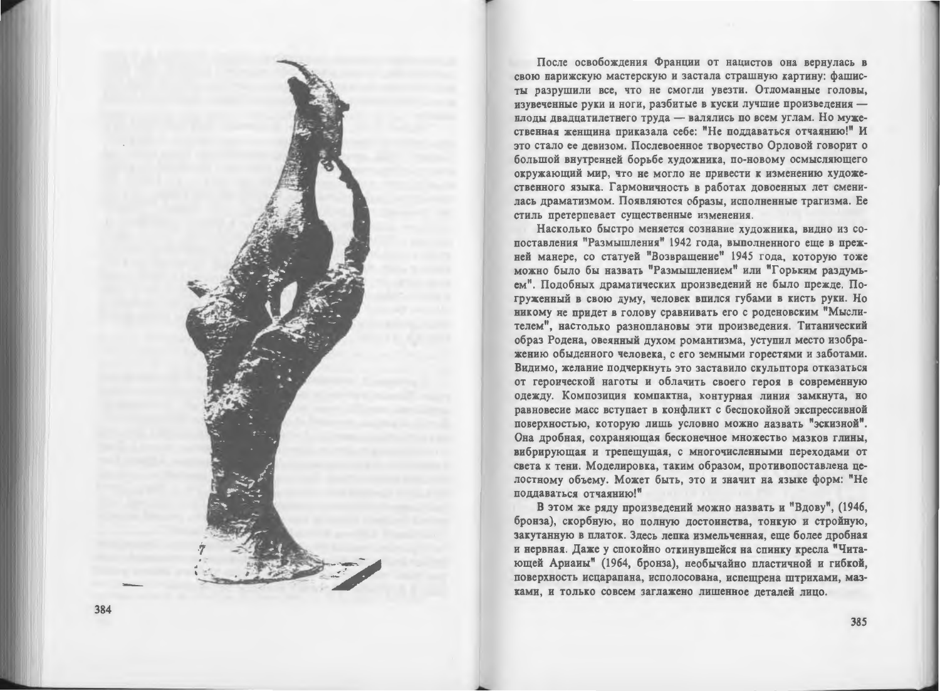

После освобождения Франции от нацистов она вернулась в свою парижскую мастерскую и застала страшную картину: фашисты разрушили все, что не смогли увезти. Отломанные головы, изувеченные руки и ноги, разбитые в куски лучшие произведения плоды двадцатилетнего труда — валялись по всем углам. Но мужественная женщина приказала себе: "Не поддаваться отчаянию!" И это стало ее девизом. Послевоенное творчество Орловой говорит о большой внутренней борьбе художника, по-новому осмысляющего окружающий мир, что не могло не привести к изменению художественного языка. Гармоничность в работах довоенных лет сменилась драматизмом. Появляются образы, исполненные трагизма. Ее стиль претерпевает существенные изменения.

Насколько быстро меняется сознание художника, видно из сопоставления "Размышления" 1942 года, выполненного еще в прежней манере, со статуей "Возвращение" 1945 года, которую тоже можно было бы назвать "Размышлением" или "Горьким раздумьем". Подобных драматических произведений не было прежде. Погруженный в свою думу, человек впился губами в кисть руки. Но никому не придет в голову сравнивать его с роденовским "Мыслителем", настолько разноплановы эти произведения. Титанический образ Родена, овеянный духом романтизма, уступил место изображению обыденного человека, с его земными горестями и заботами. Видимо, желание подчеркнуть это заставило скульптора отказаться от героической наготы и облачить своего героя в современную одежду. Композиция компактна, контурная линия замкнута, но равновесие масс вступает в конфликт с беспокойной экспрессивной поверхностью, которую лишь условно можно назвать "эскизной". Она дробная, сохраняющая бесконечное множество мазков глины, вибрирующая и трепещущая, с многочисленными переходами от света к тени. Моделировка, таким образом, противопоставлена целостному объему. Может быть, это и значит на языке форм: "Не поддаваться отчаянию!"

В этом же ряду произведений можно назвать и "Вдову", (1946, бронза), скорбную, но полную достоинства, тонкую и стройную, закутанную в платок. Здесь лепка измельченная, еще более дробная и нервная. Даже у спокойно откинувшейся на спинку кресла "Читающей Ариаиы" (1964, бронза), необычайно пластичной и гибкой, поверхность исцарапана, исполосована, испещрена штрихами, мазками, и только совсем заглажено лишенное деталей лицо.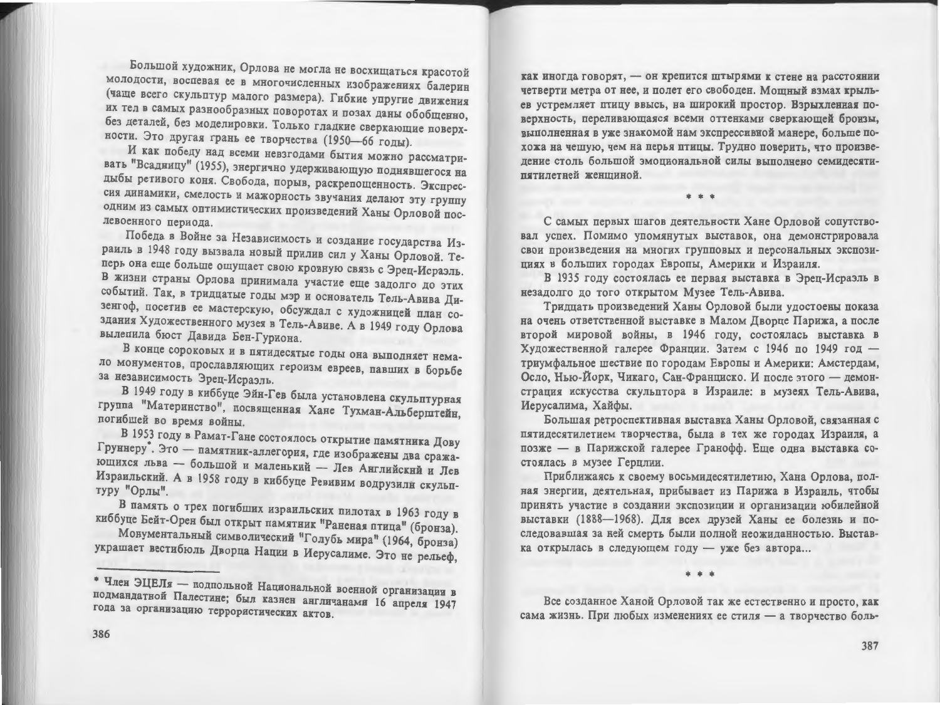Большой художник, Орлова не могла не восхищаться красотой молодости, воспевая ее в многочисленных изображениях балерин (чаще всего скульптур малого размера). Гибкие упругие движения их тел в самых разнообразных поворотах и позах даны обобщенно, без деталей, без моделировки. Только гладкие сверкающие поверхности. Это другая грань ее творчества (1950-66 годы).

И как победу над всеми невзгодами бытия можно рассматривать "Всадницу" (1955), энергично удерживающую поднявшегося на дыбы ретивого коня. Свобода, порыв, раскрепощенность. Экспрессия динамики, смелость и мажорность звучания делают эту группу одним из самых оптимистических произведений Ханы Орловой послевоенного периода.

Победа в Войне за Независимость и создание государства Израиль в 1948 году вызвала новый прилив сил у Ханы Орловой. Теперь она еще больше ощущает свою кровную связь с Эрец-Исраэль. В жизни страны Орлова принимала участие еще задолго до этих событий. Так, в тридцатые годы мэр и основатель Тель-Авива Дизенгоф, посетив ее мастерскую, обсуждал с художницей план создания Художественного музея в Тель-Авиве. А в 1949 году Орлова вылепила бюст Давида Бен-Гуриона.

В конце сороковых и в пятидесятые годы она выполняет немало монументов, прославляющих героизм евреев, павших в борьбе за независимость Эрец-Исраэль.

В 1949 году в киббуце Эйн-Гев была установлена скульптурная группа "Материнство", посвященная Хане Тухман-Альберштейн, погибшей во время войны.

В 1953 году в Рамат-Гане состоялось открытие памятника Дову Груннеру". Это - памятник-аллегория, где изображены два сражающихся льва - большой и маленький - Лев Английский и Лев Израильский. А в 1958 году в киббуце Ревивим водрузили скульптуру "Орлы".

В память о трех погибших израильских пилотах в 1963 году в киббуце Бейт-Орен был открыт памятник "Раненая птица" (бронза).

Монументальный символический "Голубь мира" (1964, бронза) украшает вестибюль Дворца Нации в Иерусалиме. Это не рельеф,

как иногда говорят, - он крепится штырями к стене на расстоянии четверти метра от нее, и полет его свободен. Мошный взмах крыльев устремляет птицу ввысь, на широкий простор. Взрыхленная поверхность, переливающаяся всеми оттенками сверкающей бронзы, выполненная в уже знакомой нам экспрессивной манере, больше похожа на чешую, чем на перья птицы. Трудно поверить, что произвеление столь большой эмопиональной силы выполнено семилесятипятилетней женщиной.

\* \* \*

С самых первых шагов деятельности Хане Орловой сопутствовал успех. Помимо упомянутых выставок, она демонстрировала свои произведения на многих групповых и персональных экспозициях в больших городах Европы, Америки и Израиля.

В 1935 году состоялась ее первая выставка в Эрец-Исраэль в незадолго до того открытом Музее Тель-Авива.

Тридцать произведений Ханы Орловой были удостоены показа на очень ответственной выставке в Малом Дворце Парижа, а после второй мировой войны, в 1946 году, состоялась выставка в Художественной галерее Франции. Затем с 1946 по 1949 год триумфальное шествие по городам Европы и Америки: Амстердам, Осло, Нью-Йорк, Чикаго, Сан-Франциско. И после этого - демонстрация искусства скульптора в Израиле: в музеях Тель-Авива, Иерусалима, Хайфы.

Большая ретроспективная выставка Ханы Орловой, связанная с пятидесятилетием творчества, была в тех же городах Израиля, а позже - в Парижской галерее Гранофф. Еще одна выставка состоялась в музее Герцлии.

Приближаясь к своему восьмидесятилетию, Хана Орлова, полная энергии, деятельная, прибывает из Парижа в Израиль, чтобы принять участие в создании экспозиции и организации юбилейной выставки (1888-1968). Для всех друзей Ханы ее болезнь и последовавшая за ней смерть были полной неожиданностью. Выставка открылась в следующем году - уже без автора...

\* \* \*

Все созданное Ханой Орловой так же естественно и просто, как сама жизнь. При любых изменениях ее стиля - а творчество боль-

<sup>•</sup> Член ЭЦЕЛя - подпольной Национальной военной организации в подмандатной Палестине; был казнен англичанами 16 апреля 1947 года за организацию террористических актов.